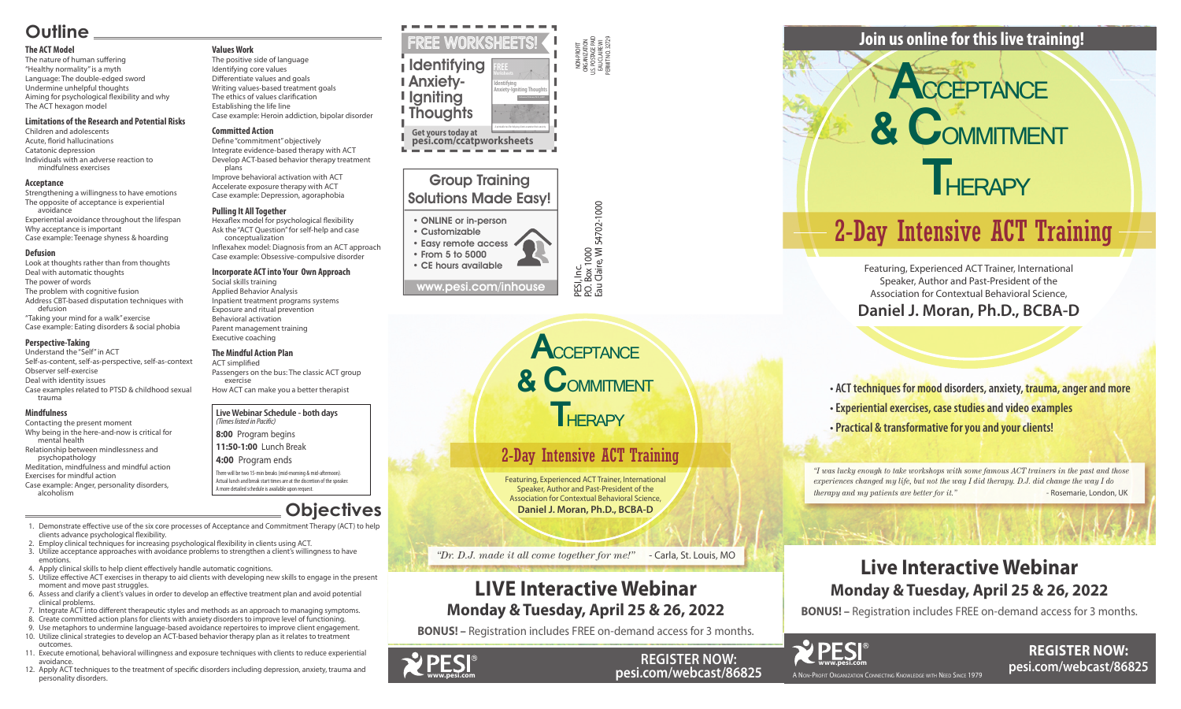NON-PROFIT ORGANIZATION U.S. POSTAGE PAID EAU CLAIRE WI PERMIT NO. 32729

PESI, Inc.<br>P.O. Box 1000<br>Eau Claire, WI 54702-1000 P.O. Box 1000 Eau Claire, WI 54702-1000

### Group Training Solutions Made Easy!

#### • ONLINE or in-person

• Customizable • Easy remote access • From 5 to 5000

• CE hours available

www.pesi.com/inhouse

#### **Live Webinar Schedule - both days** *(Times listed in Pacific)*

**8:00** Program begins

**11:50-1:00** Lunch Break

#### **4:00** Program ends

There will be two 15-min breaks (mid-morning & mid-afternoon). Actual lunch and break start times are at the discretion of the speaker. A more detailed schedule is available upon request.

*"I was lucky enough to take workshops with some famous ACT trainers in the past and those experiences changed my life, but not the way I did therapy. D.J. did change the way I do therapy and my patients are better for it."* - Rosemarie, London, UK





**REGISTER NOW: pesi.com/webcast/86825**

**• ACT techniques for mood disorders, anxiety, trauma, anger and more • Experiential exercises, case studies and video examples • Practical & transformative for you and your clients!**

Featuring, Experienced ACT Trainer, International Speaker, Author and Past-President of the Association for Contextual Behavioral Science,

**Daniel J. Moran, Ph.D., BCBA-D**

### **Join us online for this live training!**

### **Live Interactive Webinar Monday & Tuesday, April 25 & 26, 2022**

**BONUS! –** Registration includes FREE on-demand access for 3 months.



**REGISTER NOW: pesi.com/webcast/86825**



Featuring, Experienced ACT Trainer, International Speaker, Author and Past-President of the Association for Contextual Behavioral Science, **Daniel J. Moran, Ph.D., BCBA-D**

*"Dr. D.J. made it all come together for me!"* - Carla, St. Louis, MO

### **LIVE Interactive Webinar Monday & Tuesday, April 25 & 26, 2022**

**BONUS! –** Registration includes FREE on-demand access for 3 months.

**Get yours today at pesi.com/ccatpworksheets**

#### FREE Worksheets! I Identifying Anxiety-**I** Igniting **Thoughts FREE Identifying Anxiety-Igniting Thoughts**

A printable tool for helping clients examine their anxiety.

### **Outline**

#### **The ACT Model**

The nature of human suffering "Healthy normality" is a myth Language: The double-edged sword Undermine unhelpful thoughts Aiming for psychological flexibility and why The ACT hexagon model

#### **Limitations of the Research and Potential Risks**

Children and adolescents Acute, florid hallucinations Catatonic depression Individuals with an adverse reaction to mindfulness exercises

#### **Acceptance**

Strengthening a willingness to have emotions The opposite of acceptance is experiential avoidance Experiential avoidance throughout the lifespan Why acceptance is important Case example: Teenage shyness & hoarding

#### **Defusion**

Look at thoughts rather than from thoughts Deal with automatic thoughts The power of words The problem with cognitive fusion Address CBT-based disputation techniques with defusion

"Taking your mind for a walk" exercise Case example: Eating disorders & social phobia

#### **Perspective-Taking**

Understand the "Self" in ACT Self-as-content, self-as-perspective, self-as-context Observer self-exercise Deal with identity issues Case examples related to PTSD & childhood sexual trauma

#### **Mindfulness**

Contacting the present moment Why being in the here-and-now is critical for mental health

Relationship between mindlessness and psychopathology

Meditation, mindfulness and mindful action Exercises for mindful action

Case example: Anger, personality disorders, alcoholism

**Values Work** The positive side of language Identifying core values Differentiate values and goals Writing values-based treatment goals The ethics of values clarification

Establishing the life line Case example: Heroin addiction, bipolar disorder

#### **Committed Action**

Define "commitment" objectively Integrate evidence-based therapy with ACT Develop ACT-based behavior therapy treatment plans

Improve behavioral activation with ACT Accelerate exposure therapy with ACT Case example: Depression, agoraphobia

#### **Pulling It All Together**

Hexaflex model for psychological flexibility Ask the "ACT Question" for self-help and case conceptualization

Inflexahex model: Diagnosis from an ACT approach Case example: Obsessive-compulsive disorder

#### **Incorporate ACT into Your Own Approach**

Social skills training Applied Behavior Analysis Inpatient treatment programs systems Exposure and ritual prevention Behavioral activation Parent management training Executive coaching

#### **The Mindful Action Plan**

ACT simplified Passengers on the bus: The classic ACT group exercise

How ACT can make you a better therapist

### **Objectives**

 1. Demonstrate effective use of the six core processes of Acceptance and Commitment Therapy (ACT) to help clients advance psychological flexibility.

- 2. Employ clinical techniques for increasing psychological flexibility in clients using ACT.
- 3. Utilize acceptance approaches with avoidance problems to strengthen a client's willingness to have emotions.
- 4. Apply clinical skills to help client effectively handle automatic cognitions.
- 5. Utilize effective ACT exercises in therapy to aid clients with developing new skills to engage in the present moment and move past struggles.
- 6. Assess and clarify a client's values in order to develop an effective treatment plan and avoid potential clinical problems.
- 7. Integrate ACT into different therapeutic styles and methods as an approach to managing symptoms.
- 8. Create committed action plans for clients with anxiety disorders to improve level of functioning.
- 9. Use metaphors to undermine language-based avoidance repertoires to improve client engagement. 10. Utilize clinical strategies to develop an ACT-based behavior therapy plan as it relates to treatment outcomes.
- 11. Execute emotional, behavioral willingness and exposure techniques with clients to reduce experiential avoidance.
- 12. Apply ACT techniques to the treatment of specific disorders including depression, anxiety, trauma and personality disorders.



### 2-Day Intensive ACT Training



# 2-Day Intensive ACT Training